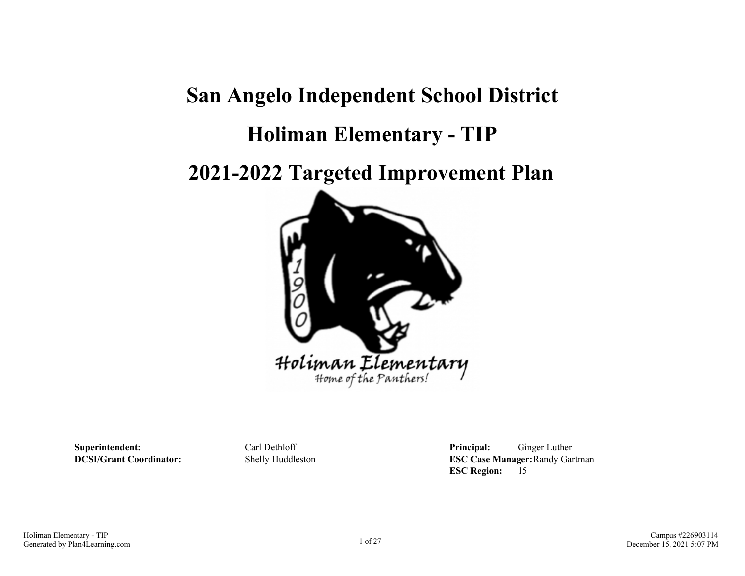# **San Angelo Independent School District**

# **Holiman Elementary - TIP**

**2021-2022 Targeted Improvement Plan**



**Superintendent:** Carl Dethloff **Principal:** Ginger Luther **DCSI/Grant Coordinator:** Shelly Huddleston **ESC Case Manager:**Randy Gartman **ESC Region:** 15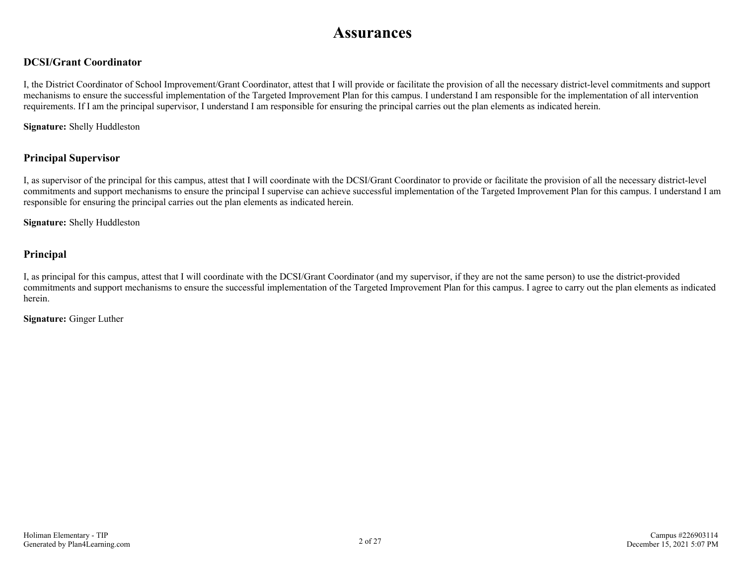# **Assurances**

# **DCSI/Grant Coordinator**

I, the District Coordinator of School Improvement/Grant Coordinator, attest that I will provide or facilitate the provision of all the necessary district-level commitments and support mechanisms to ensure the successful implementation of the Targeted Improvement Plan for this campus. I understand I am responsible for the implementation of all intervention requirements. If I am the principal supervisor, I understand I am responsible for ensuring the principal carries out the plan elements as indicated herein.

**Signature:** Shelly Huddleston

## **Principal Supervisor**

I, as supervisor of the principal for this campus, attest that I will coordinate with the DCSI/Grant Coordinator to provide or facilitate the provision of all the necessary district-level commitments and support mechanisms to ensure the principal I supervise can achieve successful implementation of the Targeted Improvement Plan for this campus. I understand I am responsible for ensuring the principal carries out the plan elements as indicated herein.

**Signature:** Shelly Huddleston

## **Principal**

I, as principal for this campus, attest that I will coordinate with the DCSI/Grant Coordinator (and my supervisor, if they are not the same person) to use the district-provided commitments and support mechanisms to ensure the successful implementation of the Targeted Improvement Plan for this campus. I agree to carry out the plan elements as indicated herein.

**Signature:** Ginger Luther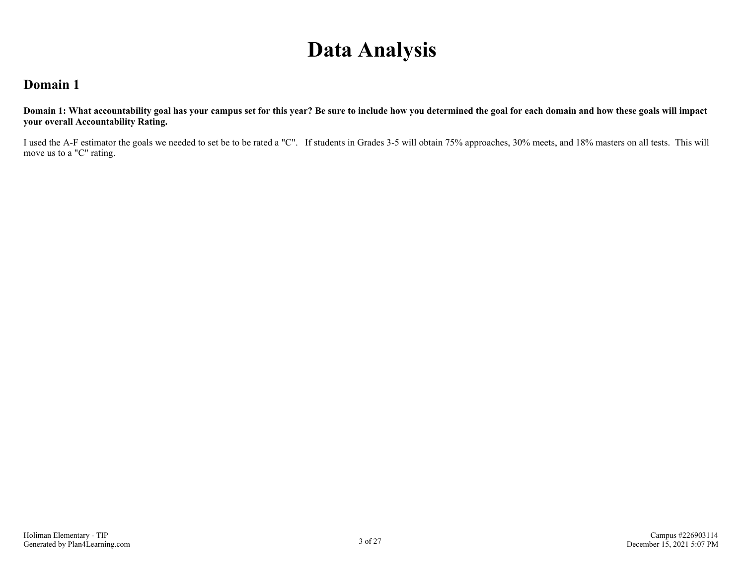# **Data Analysis**

# **Domain 1**

**Domain 1: What accountability goal has your campus set for this year? Be sure to include how you determined the goal for each domain and how these goals will impact your overall Accountability Rating.**

I used the A-F estimator the goals we needed to set be to be rated a "C". If students in Grades 3-5 will obtain 75% approaches, 30% meets, and 18% masters on all tests. This will move us to a "C" rating.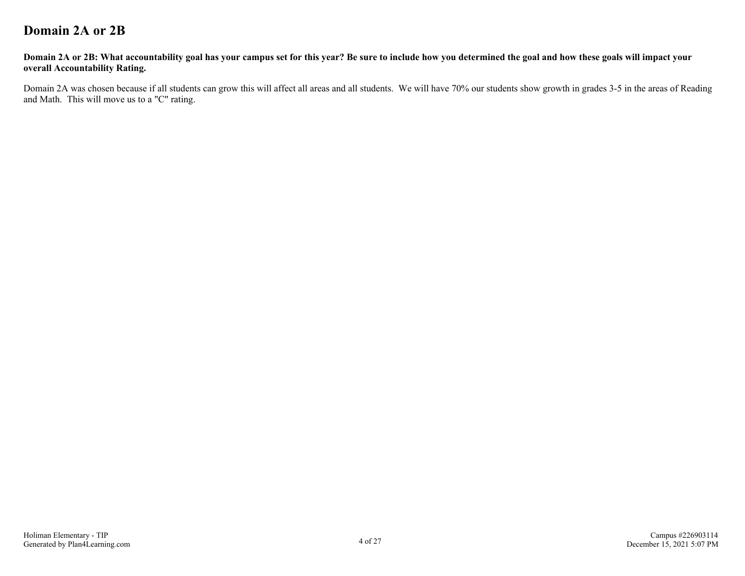# **Domain 2A or 2B**

#### **Domain 2A or 2B: What accountability goal has your campus set for this year? Be sure to include how you determined the goal and how these goals will impact your overall Accountability Rating.**

Domain 2A was chosen because if all students can grow this will affect all areas and all students. We will have 70% our students show growth in grades 3-5 in the areas of Reading and Math. This will move us to a "C" rating.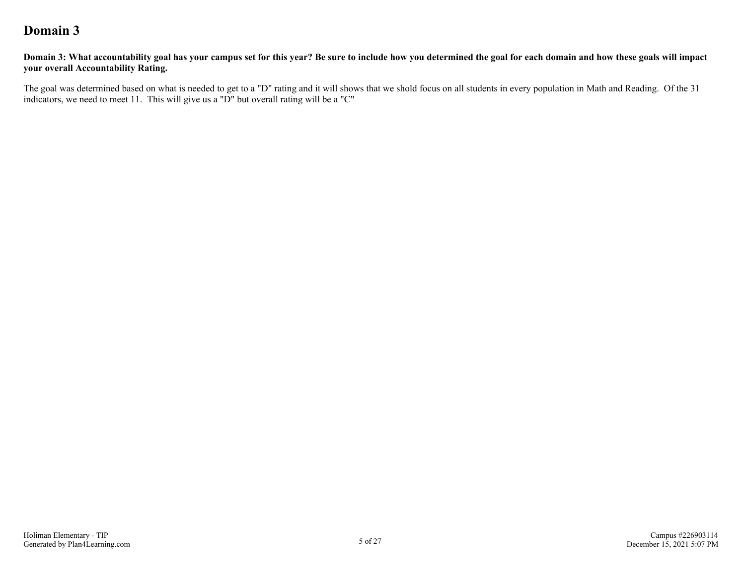# **Domain 3**

**Domain 3: What accountability goal has your campus set for this year? Be sure to include how you determined the goal for each domain and how these goals will impact your overall Accountability Rating.**

The goal was determined based on what is needed to get to a "D" rating and it will shows that we shold focus on all students in every population in Math and Reading. Of the 31 indicators, we need to meet 11. This will give us a "D" but overall rating will be a "C"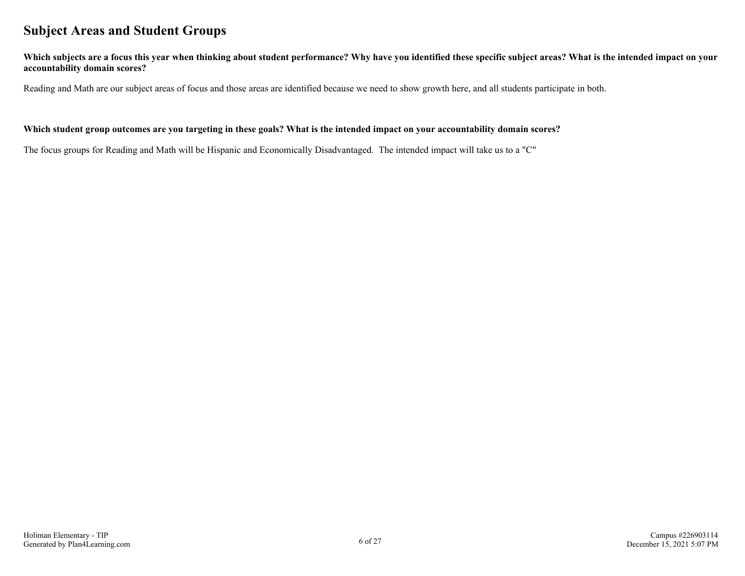# **Subject Areas and Student Groups**

**Which subjects are a focus this year when thinking about student performance? Why have you identified these specific subject areas? What is the intended impact on your accountability domain scores?**

Reading and Math are our subject areas of focus and those areas are identified because we need to show growth here, and all students participate in both.

#### **Which student group outcomes are you targeting in these goals? What is the intended impact on your accountability domain scores?**

The focus groups for Reading and Math will be Hispanic and Economically Disadvantaged. The intended impact will take us to a "C"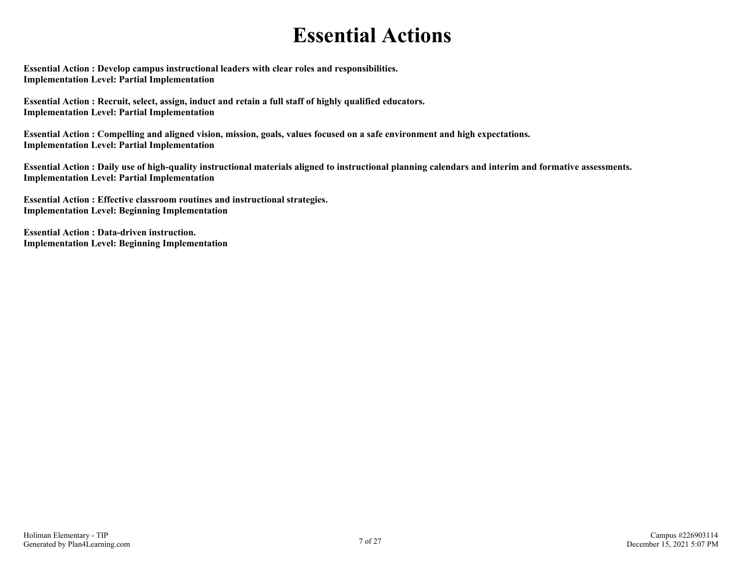# **Essential Actions**

**Essential Action : Develop campus instructional leaders with clear roles and responsibilities. Implementation Level: Partial Implementation** 

**Essential Action : Recruit, select, assign, induct and retain a full staff of highly qualified educators. Implementation Level: Partial Implementation** 

**Essential Action : Compelling and aligned vision, mission, goals, values focused on a safe environment and high expectations. Implementation Level: Partial Implementation** 

**Essential Action : Daily use of high-quality instructional materials aligned to instructional planning calendars and interim and formative assessments. Implementation Level: Partial Implementation** 

**Essential Action : Effective classroom routines and instructional strategies. Implementation Level: Beginning Implementation** 

**Essential Action : Data-driven instruction. Implementation Level: Beginning Implementation**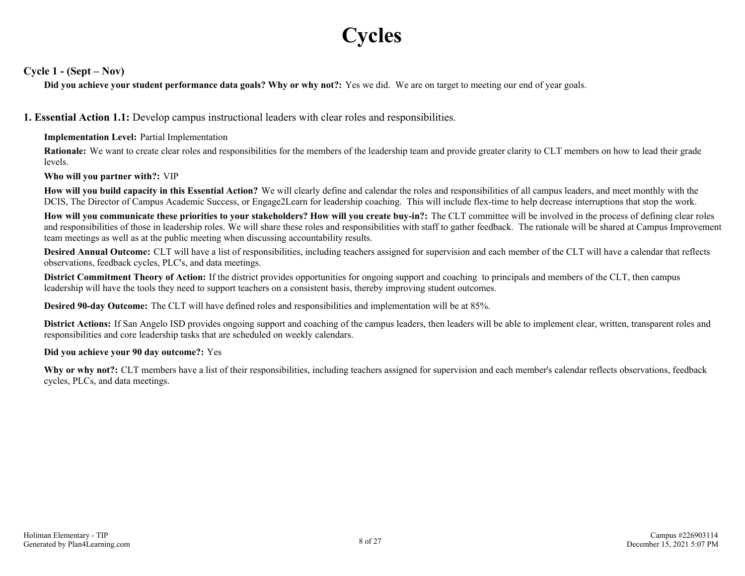# **Cycles**

**Cycle 1 - (Sept – Nov)**

**Did you achieve your student performance data goals? Why or why not?:** Yes we did. We are on target to meeting our end of year goals.

**1. Essential Action 1.1:** Develop campus instructional leaders with clear roles and responsibilities.

**Implementation Level:** Partial Implementation

**Rationale:** We want to create clear roles and responsibilities for the members of the leadership team and provide greater clarity to CLT members on how to lead their grade levels.

**Who will you partner with?:** VIP

**How will you build capacity in this Essential Action?** We will clearly define and calendar the roles and responsibilities of all campus leaders, and meet monthly with the DCIS, The Director of Campus Academic Success, or Engage2Learn for leadership coaching. This will include flex-time to help decrease interruptions that stop the work.

**How will you communicate these priorities to your stakeholders? How will you create buy-in?:** The CLT committee will be involved in the process of defining clear roles and responsibilities of those in leadership roles. We will share these roles and responsibilities with staff to gather feedback. The rationale will be shared at Campus Improvement team meetings as well as at the public meeting when discussing accountability results.

**Desired Annual Outcome:** CLT will have a list of responsibilities, including teachers assigned for supervision and each member of the CLT will have a calendar that reflects observations, feedback cycles, PLC's, and data meetings.

**District Commitment Theory of Action:** If the district provides opportunities for ongoing support and coaching to principals and members of the CLT, then campus leadership will have the tools they need to support teachers on a consistent basis, thereby improving student outcomes.

**Desired 90-day Outcome:** The CLT will have defined roles and responsibilities and implementation will be at 85%.

**District Actions:** If San Angelo ISD provides ongoing support and coaching of the campus leaders, then leaders will be able to implement clear, written, transparent roles and responsibilities and core leadership tasks that are scheduled on weekly calendars.

#### **Did you achieve your 90 day outcome?:** Yes

Why or why not?: CLT members have a list of their responsibilities, including teachers assigned for supervision and each member's calendar reflects observations, feedback cycles, PLCs, and data meetings.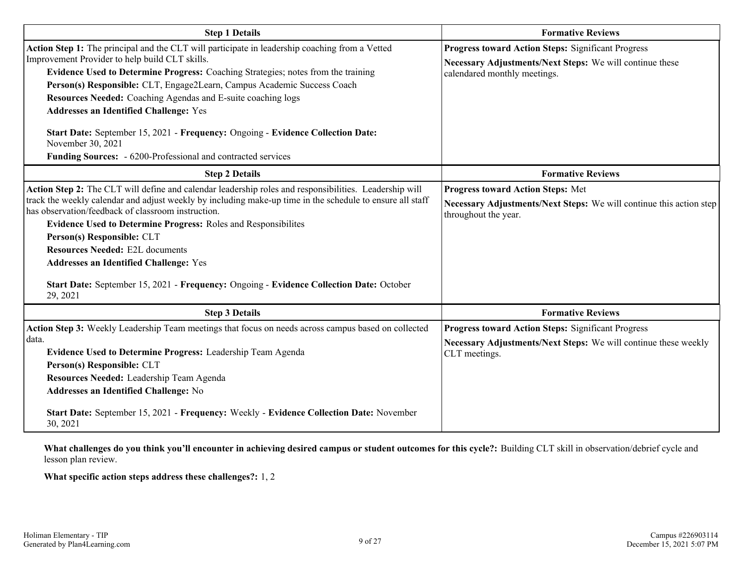| <b>Step 1 Details</b>                                                                                                                                                                                                                                                                                                                                                                                                                                                                                                                                                                                     | <b>Formative Reviews</b>                                                                                                                              |  |  |
|-----------------------------------------------------------------------------------------------------------------------------------------------------------------------------------------------------------------------------------------------------------------------------------------------------------------------------------------------------------------------------------------------------------------------------------------------------------------------------------------------------------------------------------------------------------------------------------------------------------|-------------------------------------------------------------------------------------------------------------------------------------------------------|--|--|
| Action Step 1: The principal and the CLT will participate in leadership coaching from a Vetted<br>Improvement Provider to help build CLT skills.<br>Evidence Used to Determine Progress: Coaching Strategies; notes from the training<br>Person(s) Responsible: CLT, Engage2Learn, Campus Academic Success Coach<br>Resources Needed: Coaching Agendas and E-suite coaching logs<br><b>Addresses an Identified Challenge: Yes</b><br>Start Date: September 15, 2021 - Frequency: Ongoing - Evidence Collection Date:<br>November 30, 2021<br>Funding Sources: - 6200-Professional and contracted services | <b>Progress toward Action Steps: Significant Progress</b><br>Necessary Adjustments/Next Steps: We will continue these<br>calendared monthly meetings. |  |  |
| <b>Step 2 Details</b>                                                                                                                                                                                                                                                                                                                                                                                                                                                                                                                                                                                     | <b>Formative Reviews</b>                                                                                                                              |  |  |
| Action Step 2: The CLT will define and calendar leadership roles and responsibilities. Leadership will<br>track the weekly calendar and adjust weekly by including make-up time in the schedule to ensure all staff<br>has observation/feedback of classroom instruction.<br><b>Evidence Used to Determine Progress: Roles and Responsibilites</b><br>Person(s) Responsible: CLT<br><b>Resources Needed: E2L documents</b><br><b>Addresses an Identified Challenge: Yes</b><br>Start Date: September 15, 2021 - Frequency: Ongoing - Evidence Collection Date: October<br>29, 2021                        | <b>Progress toward Action Steps: Met</b><br>Necessary Adjustments/Next Steps: We will continue this action step<br>throughout the year.               |  |  |
| <b>Step 3 Details</b>                                                                                                                                                                                                                                                                                                                                                                                                                                                                                                                                                                                     | <b>Formative Reviews</b>                                                                                                                              |  |  |
| Action Step 3: Weekly Leadership Team meetings that focus on needs across campus based on collected<br>data.<br>Evidence Used to Determine Progress: Leadership Team Agenda<br>Person(s) Responsible: CLT<br>Resources Needed: Leadership Team Agenda<br><b>Addresses an Identified Challenge: No</b><br>Start Date: September 15, 2021 - Frequency: Weekly - Evidence Collection Date: November<br>30, 2021                                                                                                                                                                                              | <b>Progress toward Action Steps: Significant Progress</b><br>Necessary Adjustments/Next Steps: We will continue these weekly<br>CLT meetings.         |  |  |

**What challenges do you think you'll encounter in achieving desired campus or student outcomes for this cycle?:** Building CLT skill in observation/debrief cycle and lesson plan review.

**What specific action steps address these challenges?:** 1, 2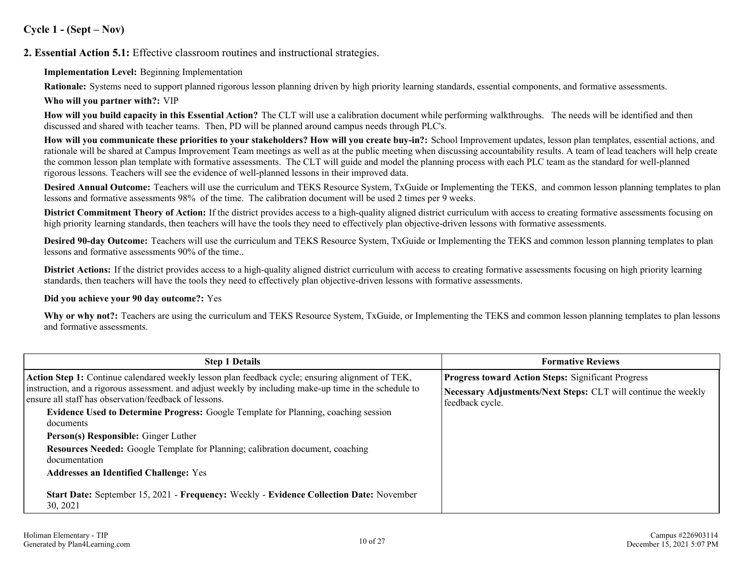## **Cycle 1 - (Sept – Nov)**

**2. Essential Action 5.1:** Effective classroom routines and instructional strategies.

#### **Implementation Level:** Beginning Implementation

**Rationale:** Systems need to support planned rigorous lesson planning driven by high priority learning standards, essential components, and formative assessments.

#### **Who will you partner with?:** VIP

**How will you build capacity in this Essential Action?** The CLT will use a calibration document while performing walkthroughs. The needs will be identified and then discussed and shared with teacher teams. Then, PD will be planned around campus needs through PLC's.

**How will you communicate these priorities to your stakeholders? How will you create buy-in?:** School Improvement updates, lesson plan templates, essential actions, and rationale will be shared at Campus Improvement Team meetings as well as at the public meeting when discussing accountability results. A team of lead teachers will help create the common lesson plan template with formative assessments. The CLT will guide and model the planning process with each PLC team as the standard for well-planned rigorous lessons. Teachers will see the evidence of well-planned lessons in their improved data.

**Desired Annual Outcome:** Teachers will use the curriculum and TEKS Resource System, TxGuide or Implementing the TEKS, and common lesson planning templates to plan lessons and formative assessments 98% of the time. The calibration document will be used 2 times per 9 weeks.

**District Commitment Theory of Action:** If the district provides access to a high-quality aligned district curriculum with access to creating formative assessments focusing on high priority learning standards, then teachers will have the tools they need to effectively plan objective-driven lessons with formative assessments.

**Desired 90-day Outcome:** Teachers will use the curriculum and TEKS Resource System, TxGuide or Implementing the TEKS and common lesson planning templates to plan lessons and formative assessments 90% of the time..

**District Actions:** If the district provides access to a high-quality aligned district curriculum with access to creating formative assessments focusing on high priority learning standards, then teachers will have the tools they need to effectively plan objective-driven lessons with formative assessments.

#### **Did you achieve your 90 day outcome?:** Yes

Why or why not?: Teachers are using the curriculum and TEKS Resource System, TxGuide, or Implementing the TEKS and common lesson planning templates to plan lessons and formative assessments.

| <b>Step 1 Details</b>                                                                                                                                           | <b>Formative Reviews</b>                                                          |
|-----------------------------------------------------------------------------------------------------------------------------------------------------------------|-----------------------------------------------------------------------------------|
| Action Step 1: Continue calendared weekly lesson plan feedback cycle; ensuring alignment of TEK,                                                                | <b>Progress toward Action Steps: Significant Progress</b>                         |
| instruction, and a rigorous assessment, and adjust weekly by including make-up time in the schedule to<br>ensure all staff has observation/feedback of lessons. | Necessary Adjustments/Next Steps: CLT will continue the weekly<br>feedback cycle. |
| <b>Evidence Used to Determine Progress:</b> Google Template for Planning, coaching session                                                                      |                                                                                   |
| documents<br>Person(s) Responsible: Ginger Luther                                                                                                               |                                                                                   |
| <b>Resources Needed:</b> Google Template for Planning; calibration document, coaching<br>documentation                                                          |                                                                                   |
| <b>Addresses an Identified Challenge: Yes</b>                                                                                                                   |                                                                                   |
| Start Date: September 15, 2021 - Frequency: Weekly - Evidence Collection Date: November<br>30, 2021                                                             |                                                                                   |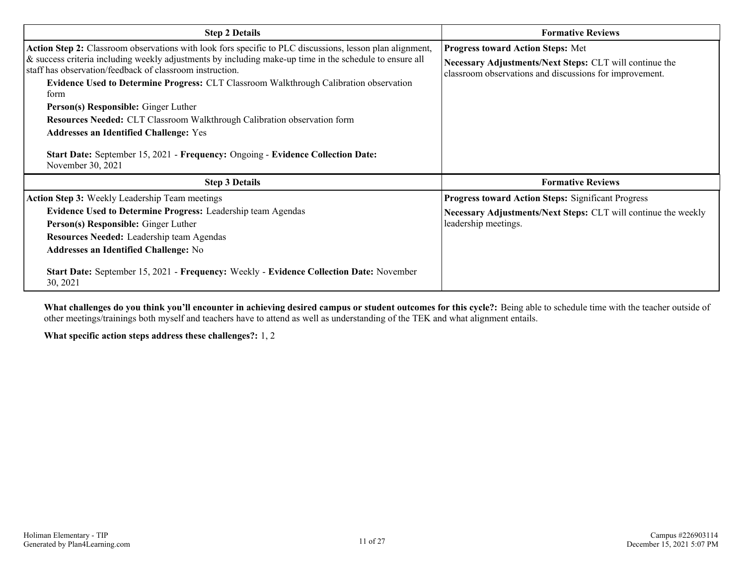| <b>Step 2 Details</b>                                                                                                                                                                                                                                                                                                                                                                                                                                                                                                                                                                                                                                                 | <b>Formative Reviews</b>                                                                                                                                |  |
|-----------------------------------------------------------------------------------------------------------------------------------------------------------------------------------------------------------------------------------------------------------------------------------------------------------------------------------------------------------------------------------------------------------------------------------------------------------------------------------------------------------------------------------------------------------------------------------------------------------------------------------------------------------------------|---------------------------------------------------------------------------------------------------------------------------------------------------------|--|
| Action Step 2: Classroom observations with look fors specific to PLC discussions, lesson plan alignment,<br>& success criteria including weekly adjustments by including make-up time in the schedule to ensure all<br>staff has observation/feedback of classroom instruction.<br>Evidence Used to Determine Progress: CLT Classroom Walkthrough Calibration observation<br>torm<br>Person(s) Responsible: Ginger Luther<br><b>Resources Needed: CLT Classroom Walkthrough Calibration observation form</b><br><b>Addresses an Identified Challenge: Yes</b><br>Start Date: September 15, 2021 - Frequency: Ongoing - Evidence Collection Date:<br>November 30, 2021 | Progress toward Action Steps: Met<br>Necessary Adjustments/Next Steps: CLT will continue the<br>classroom observations and discussions for improvement. |  |
| <b>Step 3 Details</b>                                                                                                                                                                                                                                                                                                                                                                                                                                                                                                                                                                                                                                                 | <b>Formative Reviews</b>                                                                                                                                |  |
| <b>Action Step 3:</b> Weekly Leadership Team meetings                                                                                                                                                                                                                                                                                                                                                                                                                                                                                                                                                                                                                 | <b>Progress toward Action Steps: Significant Progress</b>                                                                                               |  |
| <b>Evidence Used to Determine Progress:</b> Leadership team Agendas<br>Person(s) Responsible: Ginger Luther<br>Resources Needed: Leadership team Agendas<br><b>Addresses an Identified Challenge: No</b><br>Start Date: September 15, 2021 - Frequency: Weekly - Evidence Collection Date: November                                                                                                                                                                                                                                                                                                                                                                   | Necessary Adjustments/Next Steps: CLT will continue the weekly<br>leadership meetings.                                                                  |  |
| 30, 2021                                                                                                                                                                                                                                                                                                                                                                                                                                                                                                                                                                                                                                                              |                                                                                                                                                         |  |

**What challenges do you think you'll encounter in achieving desired campus or student outcomes for this cycle?:** Being able to schedule time with the teacher outside of other meetings/trainings both myself and teachers have to attend as well as understanding of the TEK and what alignment entails.

**What specific action steps address these challenges?:** 1, 2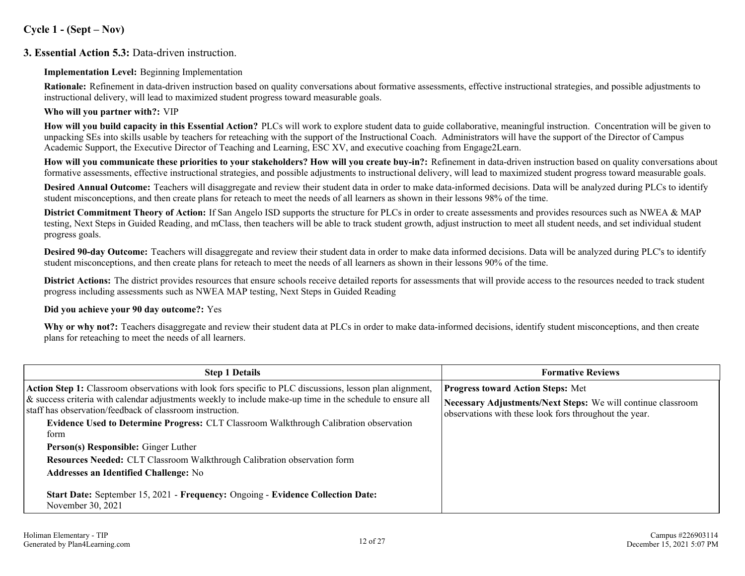## **Cycle 1 - (Sept – Nov)**

## **3. Essential Action 5.3:** Data-driven instruction.

#### **Implementation Level:** Beginning Implementation

**Rationale:** Refinement in data-driven instruction based on quality conversations about formative assessments, effective instructional strategies, and possible adjustments to instructional delivery, will lead to maximized student progress toward measurable goals.

#### **Who will you partner with?:** VIP

**How will you build capacity in this Essential Action?** PLCs will work to explore student data to guide collaborative, meaningful instruction. Concentration will be given to unpacking SEs into skills usable by teachers for reteaching with the support of the Instructional Coach. Administrators will have the support of the Director of Campus Academic Support, the Executive Director of Teaching and Learning, ESC XV, and executive coaching from Engage2Learn.

**How will you communicate these priorities to your stakeholders? How will you create buy-in?:** Refinement in data-driven instruction based on quality conversations about formative assessments, effective instructional strategies, and possible adjustments to instructional delivery, will lead to maximized student progress toward measurable goals.

**Desired Annual Outcome:** Teachers will disaggregate and review their student data in order to make data-informed decisions. Data will be analyzed during PLCs to identify student misconceptions, and then create plans for reteach to meet the needs of all learners as shown in their lessons 98% of the time.

**District Commitment Theory of Action:** If San Angelo ISD supports the structure for PLCs in order to create assessments and provides resources such as NWEA & MAP testing, Next Steps in Guided Reading, and mClass, then teachers will be able to track student growth, adjust instruction to meet all student needs, and set individual student progress goals.

**Desired 90-day Outcome:** Teachers will disaggregate and review their student data in order to make data informed decisions. Data will be analyzed during PLC's to identify student misconceptions, and then create plans for reteach to meet the needs of all learners as shown in their lessons 90% of the time.

**District Actions:** The district provides resources that ensure schools receive detailed reports for assessments that will provide access to the resources needed to track student progress including assessments such as NWEA MAP testing, Next Steps in Guided Reading

#### **Did you achieve your 90 day outcome?:** Yes

**Why or why not?:** Teachers disaggregate and review their student data at PLCs in order to make data-informed decisions, identify student misconceptions, and then create plans for reteaching to meet the needs of all learners.

| <b>Step 1 Details</b>                                                                                                                                                                                                                                                                                                                                                                                                                                                                                                                                             | <b>Formative Reviews</b>                                                                                                                                           |  |
|-------------------------------------------------------------------------------------------------------------------------------------------------------------------------------------------------------------------------------------------------------------------------------------------------------------------------------------------------------------------------------------------------------------------------------------------------------------------------------------------------------------------------------------------------------------------|--------------------------------------------------------------------------------------------------------------------------------------------------------------------|--|
| <b>Action Step 1:</b> Classroom observations with look fors specific to PLC discussions, lesson plan alignment,<br>$\&$ success criteria with calendar adjustments weekly to include make-up time in the schedule to ensure all<br>staff has observation/feedback of classroom instruction.<br>Evidence Used to Determine Progress: CLT Classroom Walkthrough Calibration observation<br>form<br>Person(s) Responsible: Ginger Luther<br>Resources Needed: CLT Classroom Walkthrough Calibration observation form<br><b>Addresses an Identified Challenge: No</b> | <b>Progress toward Action Steps: Met</b><br>Necessary Adjustments/Next Steps: We will continue classroom<br>observations with these look fors throughout the year. |  |
| Start Date: September 15, 2021 - Frequency: Ongoing - Evidence Collection Date:<br>November 30, 2021                                                                                                                                                                                                                                                                                                                                                                                                                                                              |                                                                                                                                                                    |  |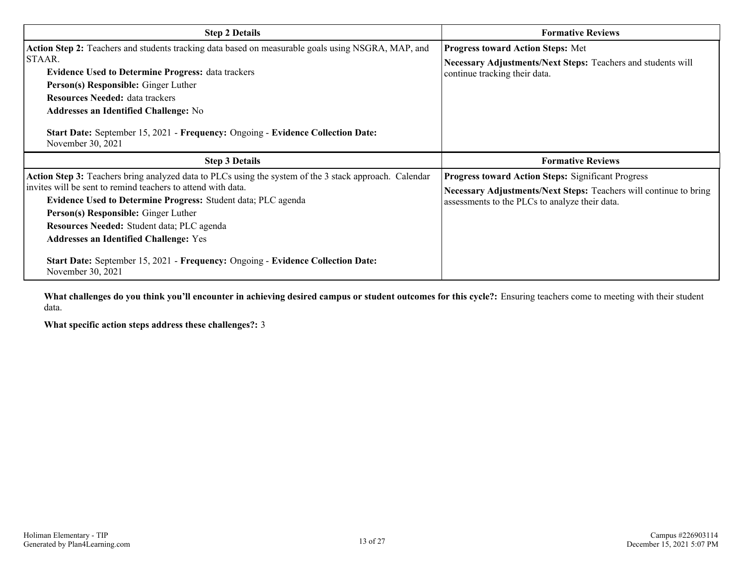| <b>Step 2 Details</b>                                                                                                                                                                                                                                                                                                                                                                                                                                                                  | <b>Formative Reviews</b>                                                                                                                                                         |  |
|----------------------------------------------------------------------------------------------------------------------------------------------------------------------------------------------------------------------------------------------------------------------------------------------------------------------------------------------------------------------------------------------------------------------------------------------------------------------------------------|----------------------------------------------------------------------------------------------------------------------------------------------------------------------------------|--|
| Action Step 2: Teachers and students tracking data based on measurable goals using NSGRA, MAP, and<br>ISTAAR.<br><b>Evidence Used to Determine Progress: data trackers</b><br>Person(s) Responsible: Ginger Luther<br><b>Resources Needed: data trackers</b><br>Addresses an Identified Challenge: No<br><b>Start Date:</b> September 15, 2021 - Frequency: Ongoing - Evidence Collection Date:<br>November 30, 2021                                                                   | <b>Progress toward Action Steps: Met</b><br>Necessary Adjustments/Next Steps: Teachers and students will<br>continue tracking their data.                                        |  |
| <b>Step 3 Details</b>                                                                                                                                                                                                                                                                                                                                                                                                                                                                  | <b>Formative Reviews</b>                                                                                                                                                         |  |
| Action Step 3: Teachers bring analyzed data to PLCs using the system of the 3 stack approach. Calendar<br>invites will be sent to remind teachers to attend with data.<br>Evidence Used to Determine Progress: Student data; PLC agenda<br>Person(s) Responsible: Ginger Luther<br>Resources Needed: Student data; PLC agenda<br><b>Addresses an Identified Challenge: Yes</b><br>Start Date: September 15, 2021 - Frequency: Ongoing - Evidence Collection Date:<br>November 30, 2021 | <b>Progress toward Action Steps: Significant Progress</b><br>Necessary Adjustments/Next Steps: Teachers will continue to bring<br>assessments to the PLCs to analyze their data. |  |

**What challenges do you think you'll encounter in achieving desired campus or student outcomes for this cycle?:** Ensuring teachers come to meeting with their student data.

**What specific action steps address these challenges?:** 3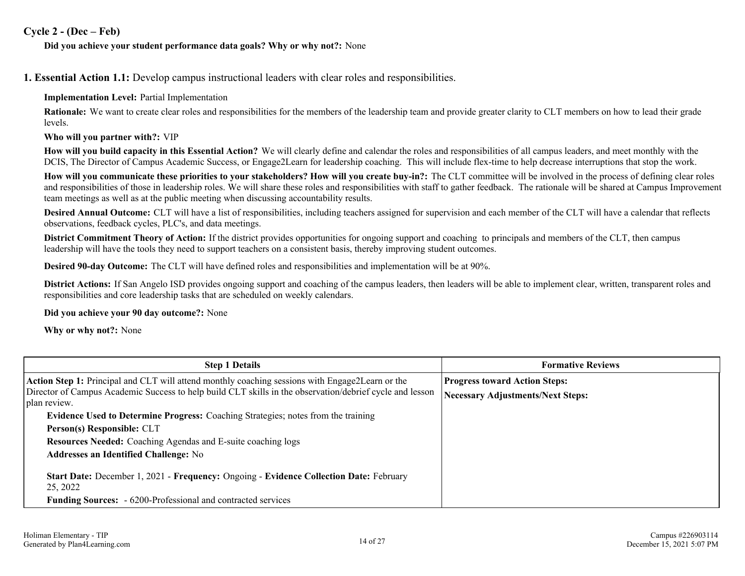### **Cycle 2 - (Dec – Feb)**

#### **Did you achieve your student performance data goals? Why or why not?:** None

**1. Essential Action 1.1:** Develop campus instructional leaders with clear roles and responsibilities.

#### **Implementation Level:** Partial Implementation

**Rationale:** We want to create clear roles and responsibilities for the members of the leadership team and provide greater clarity to CLT members on how to lead their grade levels.

#### **Who will you partner with?:** VIP

**How will you build capacity in this Essential Action?** We will clearly define and calendar the roles and responsibilities of all campus leaders, and meet monthly with the DCIS, The Director of Campus Academic Success, or Engage2Learn for leadership coaching. This will include flex-time to help decrease interruptions that stop the work.

**How will you communicate these priorities to your stakeholders? How will you create buy-in?:** The CLT committee will be involved in the process of defining clear roles and responsibilities of those in leadership roles. We will share these roles and responsibilities with staff to gather feedback. The rationale will be shared at Campus Improvement team meetings as well as at the public meeting when discussing accountability results.

**Desired Annual Outcome:** CLT will have a list of responsibilities, including teachers assigned for supervision and each member of the CLT will have a calendar that reflects observations, feedback cycles, PLC's, and data meetings.

**District Commitment Theory of Action:** If the district provides opportunities for ongoing support and coaching to principals and members of the CLT, then campus leadership will have the tools they need to support teachers on a consistent basis, thereby improving student outcomes.

**Desired 90-day Outcome:** The CLT will have defined roles and responsibilities and implementation will be at 90%.

**District Actions:** If San Angelo ISD provides ongoing support and coaching of the campus leaders, then leaders will be able to implement clear, written, transparent roles and responsibilities and core leadership tasks that are scheduled on weekly calendars.

**Did you achieve your 90 day outcome?:** None

**Why or why not?:** None

| <b>Step 1 Details</b>                                                                                                    | <b>Formative Reviews</b>                 |  |
|--------------------------------------------------------------------------------------------------------------------------|------------------------------------------|--|
| <b>Action Step 1:</b> Principal and CLT will attend monthly coaching sessions with Engage2Learn or the                   | <b>Progress toward Action Steps:</b>     |  |
| Director of Campus Academic Success to help build CLT skills in the observation/debrief cycle and lesson<br>plan review. | <b>Necessary Adjustments/Next Steps:</b> |  |
| <b>Evidence Used to Determine Progress:</b> Coaching Strategies; notes from the training                                 |                                          |  |
| Person(s) Responsible: CLT                                                                                               |                                          |  |
| Resources Needed: Coaching Agendas and E-suite coaching logs                                                             |                                          |  |
| <b>Addresses an Identified Challenge: No</b>                                                                             |                                          |  |
| Start Date: December 1, 2021 - Frequency: Ongoing - Evidence Collection Date: February<br>25, 2022                       |                                          |  |
| <b>Funding Sources:</b> - 6200-Professional and contracted services                                                      |                                          |  |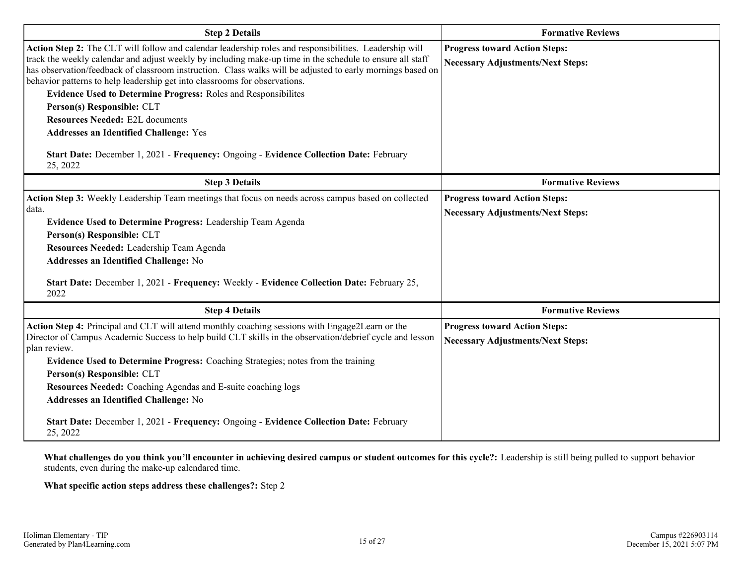| <b>Step 2 Details</b>                                                                                                                                                                                                                                                                                                                                                                                                                                                                                                                                                                                                                                                                                                   | <b>Formative Reviews</b>                                                         |  |  |
|-------------------------------------------------------------------------------------------------------------------------------------------------------------------------------------------------------------------------------------------------------------------------------------------------------------------------------------------------------------------------------------------------------------------------------------------------------------------------------------------------------------------------------------------------------------------------------------------------------------------------------------------------------------------------------------------------------------------------|----------------------------------------------------------------------------------|--|--|
| Action Step 2: The CLT will follow and calendar leadership roles and responsibilities. Leadership will<br>track the weekly calendar and adjust weekly by including make-up time in the schedule to ensure all staff<br>has observation/feedback of classroom instruction. Class walks will be adjusted to early mornings based on<br>behavior patterns to help leadership get into classrooms for observations.<br><b>Evidence Used to Determine Progress: Roles and Responsibilites</b><br>Person(s) Responsible: CLT<br><b>Resources Needed: E2L documents</b><br><b>Addresses an Identified Challenge: Yes</b><br>Start Date: December 1, 2021 - Frequency: Ongoing - Evidence Collection Date: February<br>25, 2022 | <b>Progress toward Action Steps:</b><br><b>Necessary Adjustments/Next Steps:</b> |  |  |
| <b>Step 3 Details</b>                                                                                                                                                                                                                                                                                                                                                                                                                                                                                                                                                                                                                                                                                                   | <b>Formative Reviews</b>                                                         |  |  |
| Action Step 3: Weekly Leadership Team meetings that focus on needs across campus based on collected<br>data.<br>Evidence Used to Determine Progress: Leadership Team Agenda<br>Person(s) Responsible: CLT<br>Resources Needed: Leadership Team Agenda<br><b>Addresses an Identified Challenge: No</b><br>Start Date: December 1, 2021 - Frequency: Weekly - Evidence Collection Date: February 25,<br>2022                                                                                                                                                                                                                                                                                                              | <b>Progress toward Action Steps:</b><br><b>Necessary Adjustments/Next Steps:</b> |  |  |
| <b>Step 4 Details</b>                                                                                                                                                                                                                                                                                                                                                                                                                                                                                                                                                                                                                                                                                                   | <b>Formative Reviews</b>                                                         |  |  |
| Action Step 4: Principal and CLT will attend monthly coaching sessions with Engage2Learn or the<br>Director of Campus Academic Success to help build CLT skills in the observation/debrief cycle and lesson<br>plan review.<br>Evidence Used to Determine Progress: Coaching Strategies; notes from the training<br>Person(s) Responsible: CLT<br>Resources Needed: Coaching Agendas and E-suite coaching logs<br>Addresses an Identified Challenge: No<br>Start Date: December 1, 2021 - Frequency: Ongoing - Evidence Collection Date: February<br>25, 2022                                                                                                                                                           | <b>Progress toward Action Steps:</b><br><b>Necessary Adjustments/Next Steps:</b> |  |  |

**What challenges do you think you'll encounter in achieving desired campus or student outcomes for this cycle?:** Leadership is still being pulled to support behavior students, even during the make-up calendared time.

**What specific action steps address these challenges?:** Step 2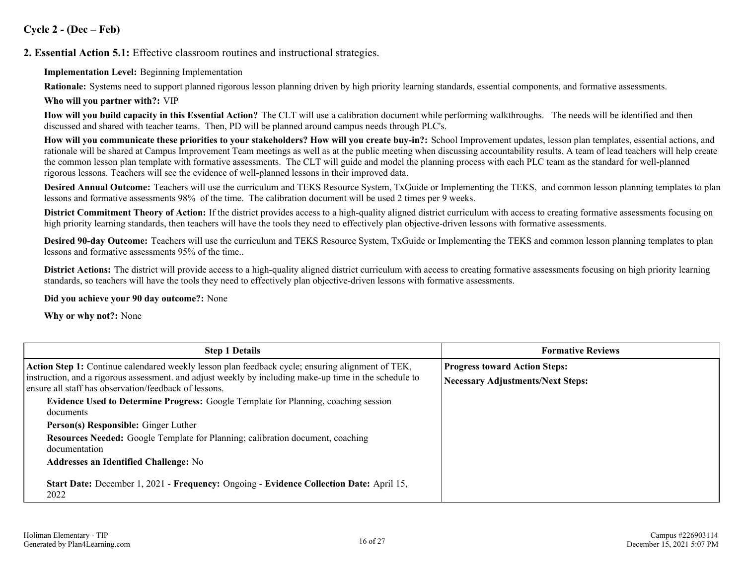## **Cycle 2 - (Dec – Feb)**

**2. Essential Action 5.1:** Effective classroom routines and instructional strategies.

**Implementation Level:** Beginning Implementation

**Rationale:** Systems need to support planned rigorous lesson planning driven by high priority learning standards, essential components, and formative assessments.

**Who will you partner with?:** VIP

**How will you build capacity in this Essential Action?** The CLT will use a calibration document while performing walkthroughs. The needs will be identified and then discussed and shared with teacher teams. Then, PD will be planned around campus needs through PLC's.

**How will you communicate these priorities to your stakeholders? How will you create buy-in?:** School Improvement updates, lesson plan templates, essential actions, and rationale will be shared at Campus Improvement Team meetings as well as at the public meeting when discussing accountability results. A team of lead teachers will help create the common lesson plan template with formative assessments. The CLT will guide and model the planning process with each PLC team as the standard for well-planned rigorous lessons. Teachers will see the evidence of well-planned lessons in their improved data.

**Desired Annual Outcome:** Teachers will use the curriculum and TEKS Resource System, TxGuide or Implementing the TEKS, and common lesson planning templates to plan lessons and formative assessments 98% of the time. The calibration document will be used 2 times per 9 weeks.

**District Commitment Theory of Action:** If the district provides access to a high-quality aligned district curriculum with access to creating formative assessments focusing on high priority learning standards, then teachers will have the tools they need to effectively plan objective-driven lessons with formative assessments.

**Desired 90-day Outcome:** Teachers will use the curriculum and TEKS Resource System, TxGuide or Implementing the TEKS and common lesson planning templates to plan lessons and formative assessments 95% of the time..

**District Actions:** The district will provide access to a high-quality aligned district curriculum with access to creating formative assessments focusing on high priority learning standards, so teachers will have the tools they need to effectively plan objective-driven lessons with formative assessments.

**Did you achieve your 90 day outcome?:** None

**Why or why not?:** None

| <b>Step 1 Details</b>                                                                                                                                          | <b>Formative Reviews</b>                 |
|----------------------------------------------------------------------------------------------------------------------------------------------------------------|------------------------------------------|
| Action Step 1: Continue calendared weekly lesson plan feedback cycle; ensuring alignment of TEK,                                                               | <b>Progress toward Action Steps:</b>     |
| instruction, and a rigorous assessment, and adjust weekly by including make-up time in the schedule to<br>ensure all staff has observation/feedback of lessons | <b>Necessary Adjustments/Next Steps:</b> |
| <b>Evidence Used to Determine Progress:</b> Google Template for Planning, coaching session                                                                     |                                          |
| documents                                                                                                                                                      |                                          |
| Person(s) Responsible: Ginger Luther                                                                                                                           |                                          |
| <b>Resources Needed:</b> Google Template for Planning; calibration document, coaching<br>documentation                                                         |                                          |
| <b>Addresses an Identified Challenge: No</b>                                                                                                                   |                                          |
| Start Date: December 1, 2021 - Frequency: Ongoing - Evidence Collection Date: April 15,<br>2022                                                                |                                          |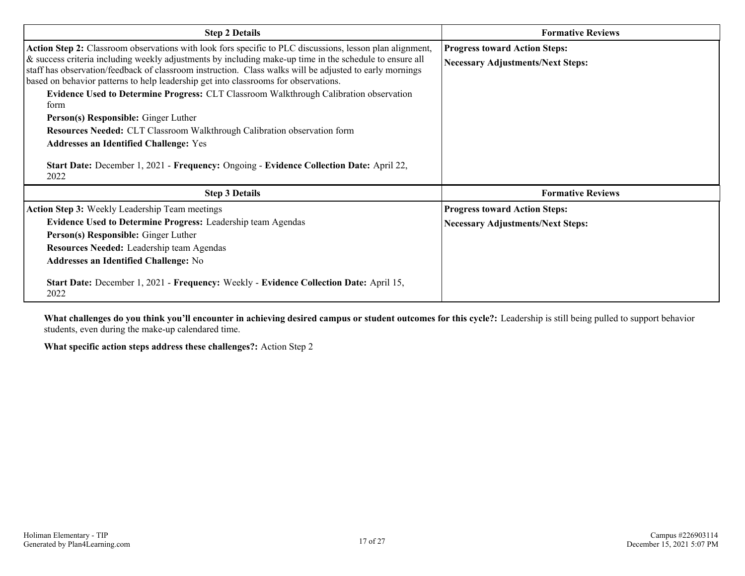| <b>Step 2 Details</b>                                                                                                                                                                                                                                                                                                                                                                                                 | <b>Formative Reviews</b>                                                         |  |
|-----------------------------------------------------------------------------------------------------------------------------------------------------------------------------------------------------------------------------------------------------------------------------------------------------------------------------------------------------------------------------------------------------------------------|----------------------------------------------------------------------------------|--|
| Action Step 2: Classroom observations with look fors specific to PLC discussions, lesson plan alignment,<br>& success criteria including weekly adjustments by including make-up time in the schedule to ensure all<br>staff has observation/feedback of classroom instruction. Class walks will be adjusted to early mornings<br>based on behavior patterns to help leadership get into classrooms for observations. | <b>Progress toward Action Steps:</b><br><b>Necessary Adjustments/Next Steps:</b> |  |
| Evidence Used to Determine Progress: CLT Classroom Walkthrough Calibration observation<br>form                                                                                                                                                                                                                                                                                                                        |                                                                                  |  |
| <b>Person(s) Responsible:</b> Ginger Luther                                                                                                                                                                                                                                                                                                                                                                           |                                                                                  |  |
| Resources Needed: CLT Classroom Walkthrough Calibration observation form                                                                                                                                                                                                                                                                                                                                              |                                                                                  |  |
| <b>Addresses an Identified Challenge: Yes</b>                                                                                                                                                                                                                                                                                                                                                                         |                                                                                  |  |
| Start Date: December 1, 2021 - Frequency: Ongoing - Evidence Collection Date: April 22,<br>2022                                                                                                                                                                                                                                                                                                                       |                                                                                  |  |
| <b>Step 3 Details</b>                                                                                                                                                                                                                                                                                                                                                                                                 | <b>Formative Reviews</b>                                                         |  |
| <b>Action Step 3:</b> Weekly Leadership Team meetings                                                                                                                                                                                                                                                                                                                                                                 | <b>Progress toward Action Steps:</b>                                             |  |
| <b>Evidence Used to Determine Progress:</b> Leadership team Agendas                                                                                                                                                                                                                                                                                                                                                   | <b>Necessary Adjustments/Next Steps:</b>                                         |  |
| Person(s) Responsible: Ginger Luther                                                                                                                                                                                                                                                                                                                                                                                  |                                                                                  |  |
| <b>Resources Needed:</b> Leadership team Agendas                                                                                                                                                                                                                                                                                                                                                                      |                                                                                  |  |
| <b>Addresses an Identified Challenge: No</b>                                                                                                                                                                                                                                                                                                                                                                          |                                                                                  |  |
| Start Date: December 1, 2021 - Frequency: Weekly - Evidence Collection Date: April 15,<br>2022                                                                                                                                                                                                                                                                                                                        |                                                                                  |  |

**What challenges do you think you'll encounter in achieving desired campus or student outcomes for this cycle?:** Leadership is still being pulled to support behavior students, even during the make-up calendared time.

**What specific action steps address these challenges?:** Action Step 2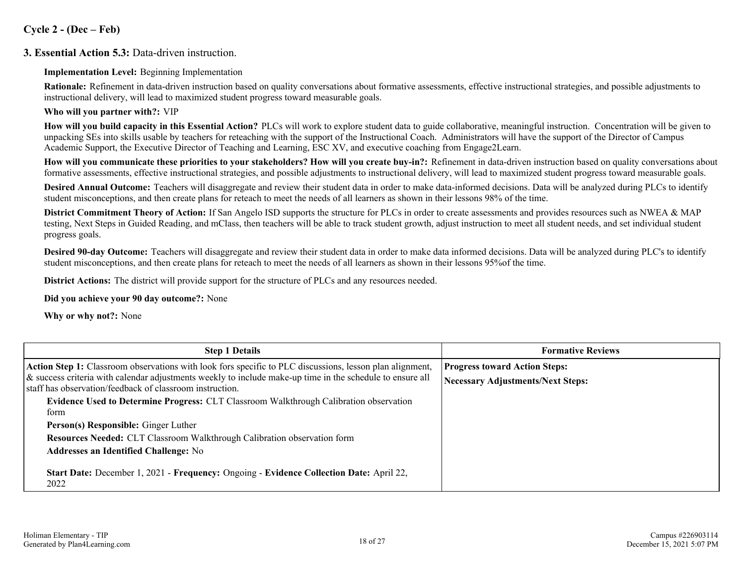## **Cycle 2 - (Dec – Feb)**

### **3. Essential Action 5.3:** Data-driven instruction.

#### **Implementation Level:** Beginning Implementation

**Rationale:** Refinement in data-driven instruction based on quality conversations about formative assessments, effective instructional strategies, and possible adjustments to instructional delivery, will lead to maximized student progress toward measurable goals.

#### **Who will you partner with?:** VIP

**How will you build capacity in this Essential Action?** PLCs will work to explore student data to guide collaborative, meaningful instruction. Concentration will be given to unpacking SEs into skills usable by teachers for reteaching with the support of the Instructional Coach. Administrators will have the support of the Director of Campus Academic Support, the Executive Director of Teaching and Learning, ESC XV, and executive coaching from Engage2Learn.

**How will you communicate these priorities to your stakeholders? How will you create buy-in?:** Refinement in data-driven instruction based on quality conversations about formative assessments, effective instructional strategies, and possible adjustments to instructional delivery, will lead to maximized student progress toward measurable goals.

**Desired Annual Outcome:** Teachers will disaggregate and review their student data in order to make data-informed decisions. Data will be analyzed during PLCs to identify student misconceptions, and then create plans for reteach to meet the needs of all learners as shown in their lessons 98% of the time.

**District Commitment Theory of Action:** If San Angelo ISD supports the structure for PLCs in order to create assessments and provides resources such as NWEA & MAP testing, Next Steps in Guided Reading, and mClass, then teachers will be able to track student growth, adjust instruction to meet all student needs, and set individual student progress goals.

**Desired 90-day Outcome:** Teachers will disaggregate and review their student data in order to make data informed decisions. Data will be analyzed during PLC's to identify student misconceptions, and then create plans for reteach to meet the needs of all learners as shown in their lessons 95%of the time.

**District Actions:** The district will provide support for the structure of PLCs and any resources needed.

**Did you achieve your 90 day outcome?:** None

**Why or why not?:** None

| <b>Step 1 Details</b>                                                                                                                                                 | <b>Formative Reviews</b>                 |
|-----------------------------------------------------------------------------------------------------------------------------------------------------------------------|------------------------------------------|
| <b>Action Step 1:</b> Classroom observations with look fors specific to PLC discussions, lesson plan alignment,                                                       | <b>Progress toward Action Steps:</b>     |
| & success criteria with calendar adjustments weekly to include make-up time in the schedule to ensure all<br>staff has observation/feedback of classroom instruction. | <b>Necessary Adjustments/Next Steps:</b> |
| Evidence Used to Determine Progress: CLT Classroom Walkthrough Calibration observation                                                                                |                                          |
| form                                                                                                                                                                  |                                          |
| Person(s) Responsible: Ginger Luther                                                                                                                                  |                                          |
| Resources Needed: CLT Classroom Walkthrough Calibration observation form                                                                                              |                                          |
| <b>Addresses an Identified Challenge: No</b>                                                                                                                          |                                          |
| Start Date: December 1, 2021 - Frequency: Ongoing - Evidence Collection Date: April 22,<br>2022                                                                       |                                          |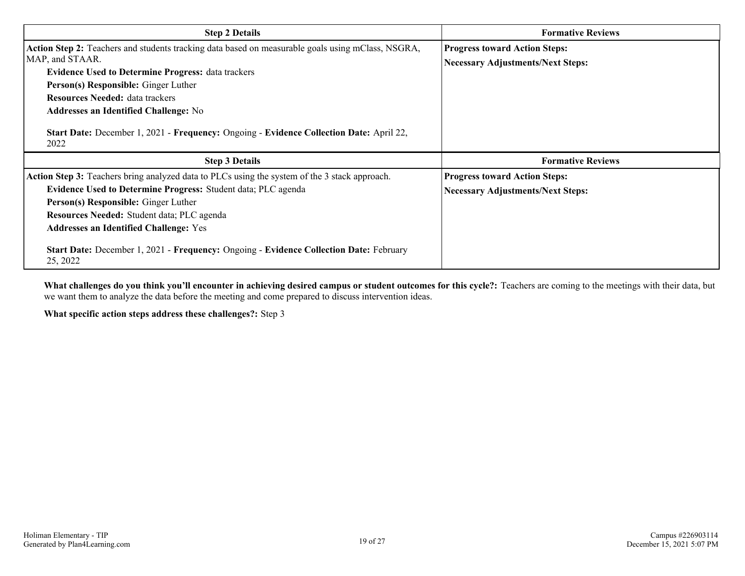| <b>Step 2 Details</b>                                                                                                                                                                                                                                                                                                                                                                                                  | <b>Formative Reviews</b>                                                         |  |
|------------------------------------------------------------------------------------------------------------------------------------------------------------------------------------------------------------------------------------------------------------------------------------------------------------------------------------------------------------------------------------------------------------------------|----------------------------------------------------------------------------------|--|
| Action Step 2: Teachers and students tracking data based on measurable goals using mClass, NSGRA,<br>MAP, and STAAR.<br><b>Evidence Used to Determine Progress: data trackers</b><br>Person(s) Responsible: Ginger Luther<br><b>Resources Needed: data trackers</b><br><b>Addresses an Identified Challenge: No</b><br>Start Date: December 1, 2021 - Frequency: Ongoing - Evidence Collection Date: April 22,<br>2022 | <b>Progress toward Action Steps:</b><br><b>Necessary Adjustments/Next Steps:</b> |  |
| <b>Step 3 Details</b>                                                                                                                                                                                                                                                                                                                                                                                                  | <b>Formative Reviews</b>                                                         |  |
| Action Step 3: Teachers bring analyzed data to PLCs using the system of the 3 stack approach.                                                                                                                                                                                                                                                                                                                          | <b>Progress toward Action Steps:</b>                                             |  |
| Evidence Used to Determine Progress: Student data; PLC agenda                                                                                                                                                                                                                                                                                                                                                          | <b>Necessary Adjustments/Next Steps:</b>                                         |  |
| Person(s) Responsible: Ginger Luther                                                                                                                                                                                                                                                                                                                                                                                   |                                                                                  |  |
| Resources Needed: Student data; PLC agenda                                                                                                                                                                                                                                                                                                                                                                             |                                                                                  |  |
|                                                                                                                                                                                                                                                                                                                                                                                                                        |                                                                                  |  |
| <b>Addresses an Identified Challenge: Yes</b>                                                                                                                                                                                                                                                                                                                                                                          |                                                                                  |  |

**What challenges do you think you'll encounter in achieving desired campus or student outcomes for this cycle?:** Teachers are coming to the meetings with their data, but we want them to analyze the data before the meeting and come prepared to discuss intervention ideas.

**What specific action steps address these challenges?:** Step 3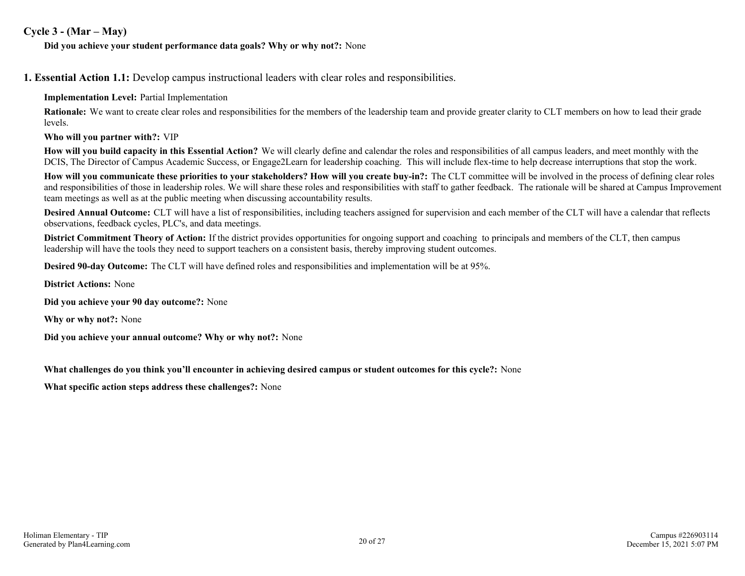### **Cycle 3 - (Mar – May)**

#### **Did you achieve your student performance data goals? Why or why not?:** None

**1. Essential Action 1.1:** Develop campus instructional leaders with clear roles and responsibilities.

**Implementation Level:** Partial Implementation

**Rationale:** We want to create clear roles and responsibilities for the members of the leadership team and provide greater clarity to CLT members on how to lead their grade levels.

**Who will you partner with?:** VIP

**How will you build capacity in this Essential Action?** We will clearly define and calendar the roles and responsibilities of all campus leaders, and meet monthly with the DCIS, The Director of Campus Academic Success, or Engage2Learn for leadership coaching. This will include flex-time to help decrease interruptions that stop the work.

**How will you communicate these priorities to your stakeholders? How will you create buy-in?:** The CLT committee will be involved in the process of defining clear roles and responsibilities of those in leadership roles. We will share these roles and responsibilities with staff to gather feedback. The rationale will be shared at Campus Improvement team meetings as well as at the public meeting when discussing accountability results.

**Desired Annual Outcome:** CLT will have a list of responsibilities, including teachers assigned for supervision and each member of the CLT will have a calendar that reflects observations, feedback cycles, PLC's, and data meetings.

**District Commitment Theory of Action:** If the district provides opportunities for ongoing support and coaching to principals and members of the CLT, then campus leadership will have the tools they need to support teachers on a consistent basis, thereby improving student outcomes.

**Desired 90-day Outcome:** The CLT will have defined roles and responsibilities and implementation will be at 95%.

**District Actions:** None

**Did you achieve your 90 day outcome?:** None

**Why or why not?:** None

**Did you achieve your annual outcome? Why or why not?:** None

**What challenges do you think you'll encounter in achieving desired campus or student outcomes for this cycle?:** None

**What specific action steps address these challenges?:** None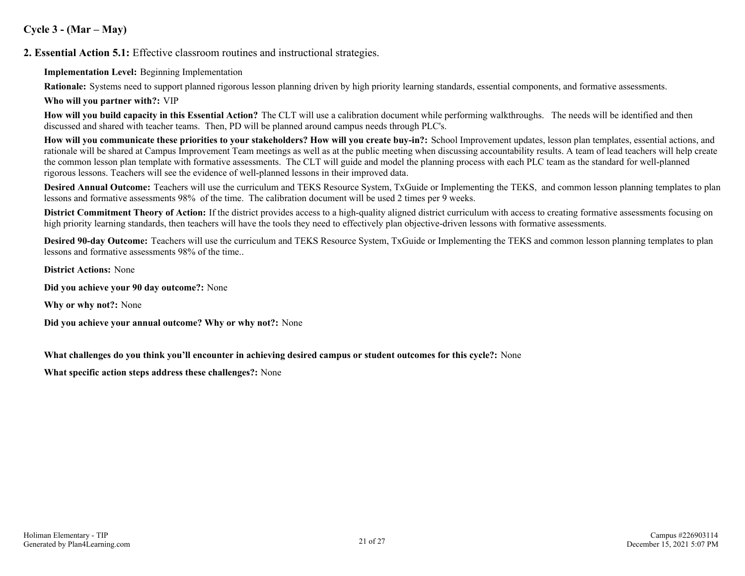# **Cycle 3 - (Mar – May)**

**2. Essential Action 5.1:** Effective classroom routines and instructional strategies.

**Implementation Level:** Beginning Implementation

**Rationale:** Systems need to support planned rigorous lesson planning driven by high priority learning standards, essential components, and formative assessments.

**Who will you partner with?:** VIP

**How will you build capacity in this Essential Action?** The CLT will use a calibration document while performing walkthroughs. The needs will be identified and then discussed and shared with teacher teams. Then, PD will be planned around campus needs through PLC's.

**How will you communicate these priorities to your stakeholders? How will you create buy-in?:** School Improvement updates, lesson plan templates, essential actions, and rationale will be shared at Campus Improvement Team meetings as well as at the public meeting when discussing accountability results. A team of lead teachers will help create the common lesson plan template with formative assessments. The CLT will guide and model the planning process with each PLC team as the standard for well-planned rigorous lessons. Teachers will see the evidence of well-planned lessons in their improved data.

**Desired Annual Outcome:** Teachers will use the curriculum and TEKS Resource System, TxGuide or Implementing the TEKS, and common lesson planning templates to plan lessons and formative assessments 98% of the time. The calibration document will be used 2 times per 9 weeks.

**District Commitment Theory of Action:** If the district provides access to a high-quality aligned district curriculum with access to creating formative assessments focusing on high priority learning standards, then teachers will have the tools they need to effectively plan objective-driven lessons with formative assessments.

**Desired 90-day Outcome:** Teachers will use the curriculum and TEKS Resource System, TxGuide or Implementing the TEKS and common lesson planning templates to plan lessons and formative assessments 98% of the time..

**District Actions:** None

**Did you achieve your 90 day outcome?:** None

**Why or why not?:** None

**Did you achieve your annual outcome? Why or why not?:** None

**What challenges do you think you'll encounter in achieving desired campus or student outcomes for this cycle?:** None

**What specific action steps address these challenges?:** None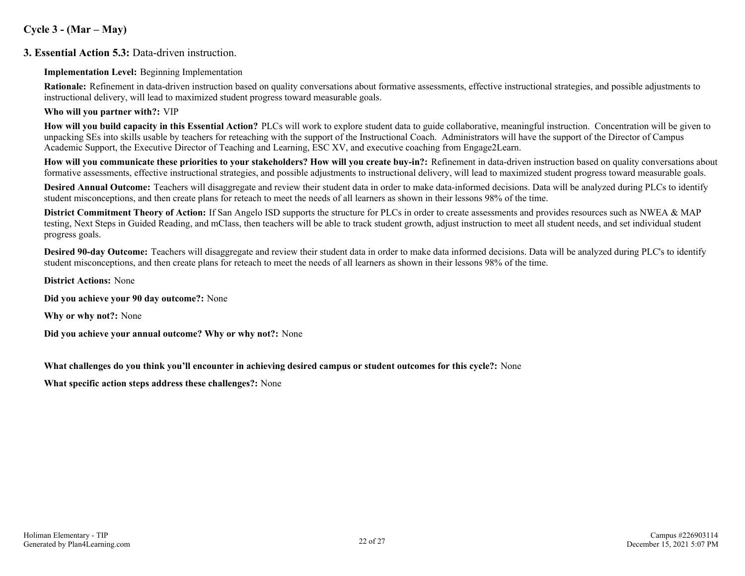# **Cycle 3 - (Mar – May)**

### **3. Essential Action 5.3:** Data-driven instruction.

#### **Implementation Level:** Beginning Implementation

**Rationale:** Refinement in data-driven instruction based on quality conversations about formative assessments, effective instructional strategies, and possible adjustments to instructional delivery, will lead to maximized student progress toward measurable goals.

#### **Who will you partner with?:** VIP

**How will you build capacity in this Essential Action?** PLCs will work to explore student data to guide collaborative, meaningful instruction. Concentration will be given to unpacking SEs into skills usable by teachers for reteaching with the support of the Instructional Coach. Administrators will have the support of the Director of Campus Academic Support, the Executive Director of Teaching and Learning, ESC XV, and executive coaching from Engage2Learn.

**How will you communicate these priorities to your stakeholders? How will you create buy-in?:** Refinement in data-driven instruction based on quality conversations about formative assessments, effective instructional strategies, and possible adjustments to instructional delivery, will lead to maximized student progress toward measurable goals.

**Desired Annual Outcome:** Teachers will disaggregate and review their student data in order to make data-informed decisions. Data will be analyzed during PLCs to identify student misconceptions, and then create plans for reteach to meet the needs of all learners as shown in their lessons 98% of the time.

**District Commitment Theory of Action:** If San Angelo ISD supports the structure for PLCs in order to create assessments and provides resources such as NWEA & MAP testing, Next Steps in Guided Reading, and mClass, then teachers will be able to track student growth, adjust instruction to meet all student needs, and set individual student progress goals.

**Desired 90-day Outcome:** Teachers will disaggregate and review their student data in order to make data informed decisions. Data will be analyzed during PLC's to identify student misconceptions, and then create plans for reteach to meet the needs of all learners as shown in their lessons 98% of the time.

**District Actions:** None

**Did you achieve your 90 day outcome?:** None

**Why or why not?:** None

**Did you achieve your annual outcome? Why or why not?:** None

**What challenges do you think you'll encounter in achieving desired campus or student outcomes for this cycle?:** None

**What specific action steps address these challenges?:** None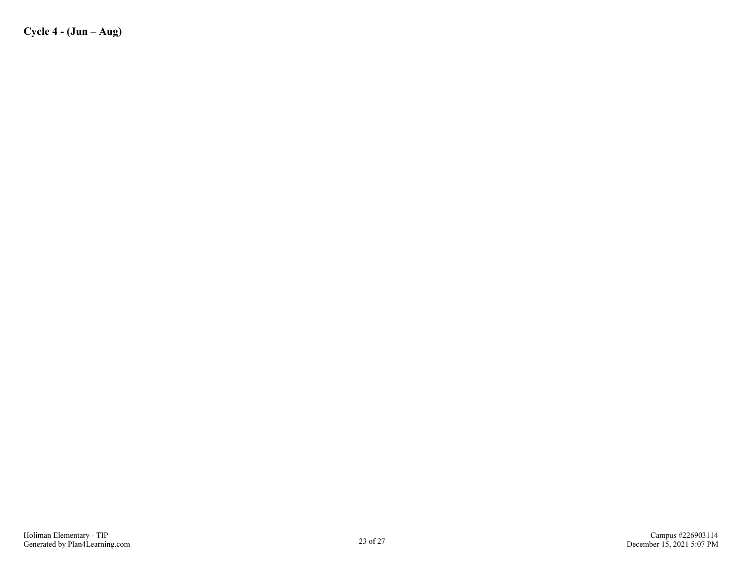**Cycle 4 - (Jun – Aug)**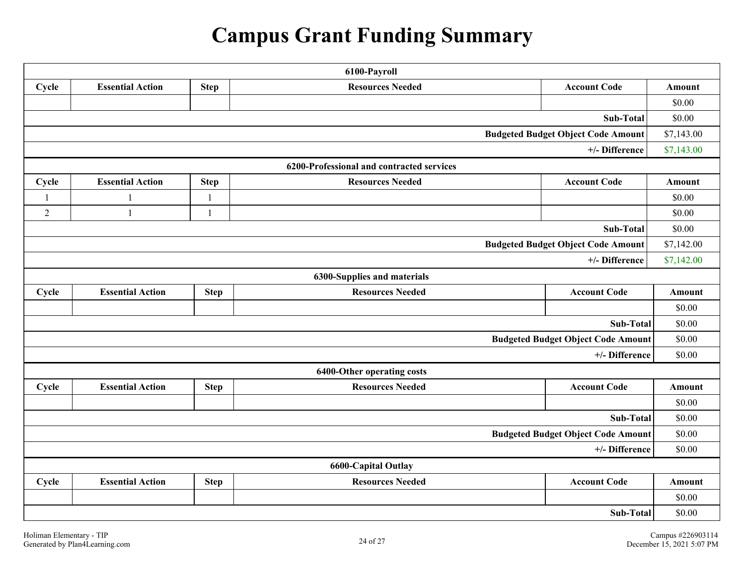# **Campus Grant Funding Summary**

| 6100-Payroll                              |                         |              |                                           |                                           |            |
|-------------------------------------------|-------------------------|--------------|-------------------------------------------|-------------------------------------------|------------|
| Cycle                                     | <b>Essential Action</b> | <b>Step</b>  | <b>Resources Needed</b>                   | <b>Account Code</b>                       | Amount     |
|                                           |                         |              |                                           |                                           | \$0.00     |
|                                           |                         |              |                                           | Sub-Total                                 | \$0.00     |
|                                           |                         |              |                                           | <b>Budgeted Budget Object Code Amount</b> | \$7,143.00 |
|                                           |                         |              |                                           | +/- Difference                            | \$7,143.00 |
|                                           |                         |              | 6200-Professional and contracted services |                                           |            |
| Cycle                                     | <b>Essential Action</b> | <b>Step</b>  | <b>Resources Needed</b>                   | <b>Account Code</b>                       | Amount     |
| $\overline{1}$                            | 1                       | $\mathbf{1}$ |                                           |                                           | \$0.00     |
| $\overline{2}$                            | $\mathbf{1}$            | 1            |                                           |                                           | \$0.00     |
| Sub-Total                                 |                         |              | \$0.00                                    |                                           |            |
| <b>Budgeted Budget Object Code Amount</b> |                         |              | \$7,142.00                                |                                           |            |
|                                           |                         |              |                                           | +/- Difference                            | \$7,142.00 |
|                                           |                         |              | 6300-Supplies and materials               |                                           |            |
| Cycle                                     | <b>Essential Action</b> | <b>Step</b>  | <b>Resources Needed</b>                   | <b>Account Code</b>                       | Amount     |
|                                           |                         |              |                                           |                                           | \$0.00     |
|                                           |                         |              |                                           | Sub-Total                                 | \$0.00     |
|                                           |                         |              |                                           | <b>Budgeted Budget Object Code Amount</b> | \$0.00     |
|                                           |                         |              |                                           | +/- Difference                            | \$0.00     |
|                                           |                         |              | 6400-Other operating costs                |                                           |            |
| Cycle                                     | <b>Essential Action</b> | <b>Step</b>  | <b>Resources Needed</b>                   | <b>Account Code</b>                       | Amount     |
|                                           |                         |              |                                           |                                           | \$0.00     |
|                                           |                         |              |                                           | Sub-Total                                 | \$0.00     |
|                                           |                         |              |                                           | <b>Budgeted Budget Object Code Amount</b> | \$0.00     |
| +/- Difference                            |                         | \$0.00       |                                           |                                           |            |
| <b>6600-Capital Outlay</b>                |                         |              |                                           |                                           |            |
| Cycle                                     | <b>Essential Action</b> | <b>Step</b>  | <b>Resources Needed</b>                   | <b>Account Code</b>                       | Amount     |
|                                           |                         |              |                                           |                                           | \$0.00     |
| Sub-Total                                 |                         |              | \$0.00                                    |                                           |            |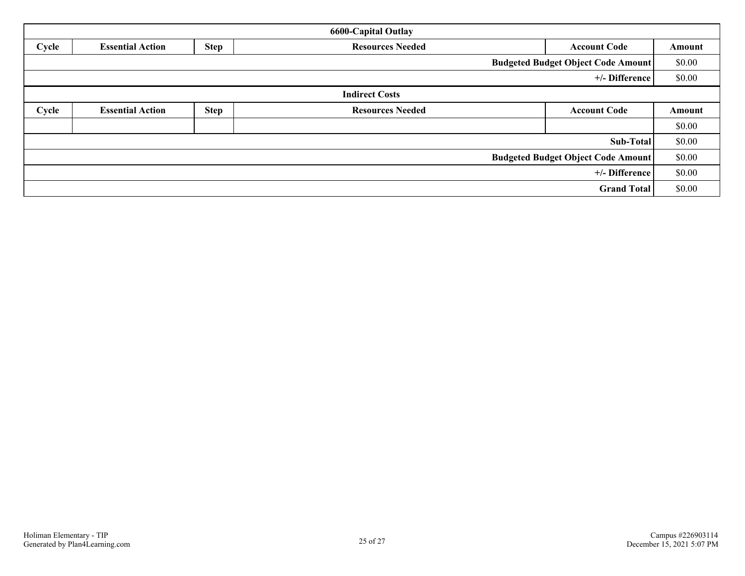| <b>6600-Capital Outlay</b>                |                         |                                                               |                         |                     |        |  |  |  |  |
|-------------------------------------------|-------------------------|---------------------------------------------------------------|-------------------------|---------------------|--------|--|--|--|--|
| Cycle                                     | <b>Essential Action</b> | <b>Step</b><br><b>Resources Needed</b><br><b>Account Code</b> |                         |                     |        |  |  |  |  |
| <b>Budgeted Budget Object Code Amount</b> |                         |                                                               |                         |                     |        |  |  |  |  |
| +/- Difference                            |                         |                                                               |                         |                     |        |  |  |  |  |
| <b>Indirect Costs</b>                     |                         |                                                               |                         |                     |        |  |  |  |  |
| Cycle                                     | <b>Essential Action</b> | <b>Step</b>                                                   | <b>Resources Needed</b> | <b>Account Code</b> | Amount |  |  |  |  |
|                                           |                         |                                                               |                         |                     | \$0.00 |  |  |  |  |
| <b>Sub-Total</b>                          |                         |                                                               |                         |                     |        |  |  |  |  |
| <b>Budgeted Budget Object Code Amount</b> |                         |                                                               |                         |                     |        |  |  |  |  |
| +/- Difference                            |                         |                                                               |                         |                     |        |  |  |  |  |
| <b>Grand Total</b>                        |                         |                                                               |                         |                     |        |  |  |  |  |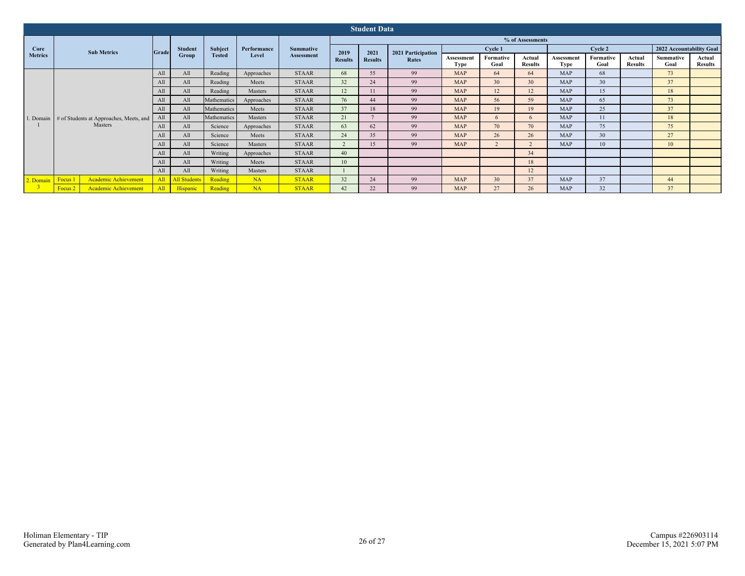| <b>Student Data</b>    |                                                    |       |                         |                                 |                      |                                       |                        |                        |                             |                           |                   |                          |                           |                   |                          |                          |                          |  |
|------------------------|----------------------------------------------------|-------|-------------------------|---------------------------------|----------------------|---------------------------------------|------------------------|------------------------|-----------------------------|---------------------------|-------------------|--------------------------|---------------------------|-------------------|--------------------------|--------------------------|--------------------------|--|
|                        | <b>Sub Metrics</b>                                 | Grade | <b>Student</b><br>Group | <b>Subject</b><br><b>Tested</b> | Performance<br>Level | <b>Summative</b><br><b>Assessment</b> | % of Assessments       |                        |                             |                           |                   |                          |                           |                   |                          |                          |                          |  |
| Core<br><b>Metrics</b> |                                                    |       |                         |                                 |                      |                                       | 2019<br><b>Results</b> | 2021<br><b>Results</b> | 2021 Participation<br>Rates | Cycle 1                   |                   |                          | Cycle 2                   |                   |                          | 2022 Accountability Goal |                          |  |
|                        |                                                    |       |                         |                                 |                      |                                       |                        |                        |                             | Assessment<br><b>Type</b> | Formative<br>Goal | Actual<br><b>Results</b> | Assessment<br><b>Type</b> | Formative<br>Goal | Actual<br><b>Results</b> | <b>Summative</b><br>Goal | Actual<br><b>Results</b> |  |
| 1. Domain              | # of Students at Approaches, Meets, and<br>Masters | All   | All                     | Reading                         | Approaches           | <b>STAAR</b>                          | 68                     | 55                     | 99                          | <b>MAP</b>                | 64                | 64                       | <b>MAP</b>                | 68                |                          | 73                       |                          |  |
|                        |                                                    | Al    | All                     | Reading                         | Meets                | <b>STAAR</b>                          | 32                     | 24                     | 99                          | <b>MAP</b>                | 30                | 30                       | <b>MAP</b>                | 30                |                          | 37                       |                          |  |
|                        |                                                    | All   | All                     | Reading                         | Masters              | <b>STAAR</b>                          | 12                     | 11                     | 99                          | <b>MAP</b>                | 12                | 12                       | <b>MAP</b>                | 15                |                          | 18                       |                          |  |
|                        |                                                    | All   | All                     | Mathematics                     | Approaches           | <b>STAAR</b>                          | 76                     | 44                     | 99                          | <b>MAP</b>                | 56                | 59                       | <b>MAP</b>                | 65                |                          | 73                       |                          |  |
|                        |                                                    | Al.   | All                     | Mathematics                     | Meets                | <b>STAAR</b>                          | 37                     | 18                     | 99                          | <b>MAP</b>                | 19                | 19                       | <b>MAP</b>                | 25                |                          | 37                       |                          |  |
|                        |                                                    |       | All                     | Mathematics                     | Masters              | <b>STAAR</b>                          | 21                     |                        | 99                          | <b>MAP</b>                | -6                | 6                        | <b>MAP</b>                | 11                |                          | 18                       |                          |  |
|                        |                                                    | All   | All                     | Science                         | Approaches           | <b>STAAR</b>                          | 63                     | 62                     | 99                          | <b>MAP</b>                | 70                | 70                       | <b>MAP</b>                | 75                |                          | 75                       |                          |  |
|                        |                                                    | All   | All                     | Science                         | Meets                | <b>STAAR</b>                          | 24                     | 35                     | 99                          | <b>MAP</b>                | 26                | 26                       | <b>MAP</b>                | 30                |                          | 27                       |                          |  |
|                        |                                                    | Al    | All                     | Science                         | Masters              | <b>STAAR</b>                          |                        | 15                     | 99                          | <b>MAP</b>                |                   | $\sqrt{2}$               | <b>MAP</b>                | 10                |                          | 10                       |                          |  |
|                        |                                                    | All   | All                     | Writing                         | Approaches           | <b>STAAR</b>                          | 40                     |                        |                             |                           |                   | 34                       |                           |                   |                          |                          |                          |  |
|                        |                                                    | Al    | All                     | Writing                         | Meets                | <b>STAAR</b>                          | 10                     |                        |                             |                           |                   | 18                       |                           |                   |                          |                          |                          |  |
|                        |                                                    | All   | All                     | Writing                         | Masters              | <b>STAAR</b>                          |                        |                        |                             |                           |                   | 12                       |                           |                   |                          |                          |                          |  |
| 2. Domain Focus 1      | Academic Achievement                               | All   | <b>All Students</b>     | Reading                         | <b>NA</b>            | <b>STAAR</b>                          | 32                     | 24                     | 99                          | <b>MAP</b>                | 30                | 37                       | <b>MAP</b>                | 37                |                          | 44                       |                          |  |
|                        | <b>Academic Achievement</b><br>Focus 2             | All   | Hispanic                | Reading                         | <b>NA</b>            | <b>STAAR</b>                          | 42                     | 22                     | 99                          | <b>MAP</b>                | 27                | 26                       | <b>MAP</b>                | 32                |                          | 37                       |                          |  |